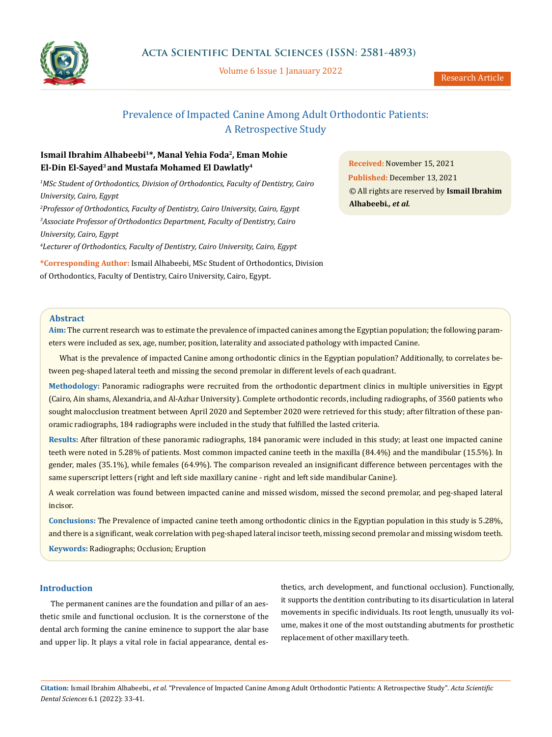

Volume 6 Issue 1 Janauary 2022

## Prevalence of Impacted Canine Among Adult Orthodontic Patients: A Retrospective Study

## **Ismail Ibrahim Alhabeebi1\*, Manal Yehia Foda2, Eman Mohie El-Din El-Sayed3 and Mustafa Mohamed El Dawlatly4**

<sup>1</sup>MSc Student of Orthodontics, Division of Orthodontics, Faculty of Dentistry, Cairo *University, Cairo, Egypt 2 Professor of Orthodontics, Faculty of Dentistry, Cairo University, Cairo, Egypt*

*3 Associate Professor of Orthodontics Department, Faculty of Dentistry, Cairo University, Cairo, Egypt*

*4 Lecturer of Orthodontics, Faculty of Dentistry, Cairo University, Cairo, Egypt*

**\*Corresponding Author:** Ismail Alhabeebi, MSc Student of Orthodontics, Division of Orthodontics, Faculty of Dentistry, Cairo University, Cairo, Egypt.

**Received:** November 15, 2021 **Published:** December 13, 2021 © All rights are reserved by **Ismail Ibrahim Alhabeebi***., et al.*

## **Abstract**

**Aim:** The current research was to estimate the prevalence of impacted canines among the Egyptian population; the following parameters were included as sex, age, number, position, laterality and associated pathology with impacted Canine.

What is the prevalence of impacted Canine among orthodontic clinics in the Egyptian population? Additionally, to correlates between peg-shaped lateral teeth and missing the second premolar in different levels of each quadrant.

**Methodology:** Panoramic radiographs were recruited from the orthodontic department clinics in multiple universities in Egypt (Cairo, Ain shams, Alexandria, and Al-Azhar University). Complete orthodontic records, including radiographs, of 3560 patients who sought malocclusion treatment between April 2020 and September 2020 were retrieved for this study; after filtration of these panoramic radiographs, 184 radiographs were included in the study that fulfilled the lasted criteria.

**Results:** After filtration of these panoramic radiographs, 184 panoramic were included in this study; at least one impacted canine teeth were noted in 5.28% of patients. Most common impacted canine teeth in the maxilla (84.4%) and the mandibular (15.5%). In gender, males (35.1%), while females (64.9%). The comparison revealed an insignificant difference between percentages with the same superscript letters (right and left side maxillary canine - right and left side mandibular Canine).

A weak correlation was found between impacted canine and missed wisdom, missed the second premolar, and peg-shaped lateral incisor.

**Conclusions:** The Prevalence of impacted canine teeth among orthodontic clinics in the Egyptian population in this study is 5.28%, and there is a significant, weak correlation with peg-shaped lateral incisor teeth, missing second premolar and missing wisdom teeth. **Keywords:** Radiographs; Occlusion; Eruption

## **Introduction**

The permanent canines are the foundation and pillar of an aesthetic smile and functional occlusion. It is the cornerstone of the dental arch forming the canine eminence to support the alar base and upper lip. It plays a vital role in facial appearance, dental esthetics, arch development, and functional occlusion). Functionally, it supports the dentition contributing to its disarticulation in lateral movements in specific individuals. Its root length, unusually its volume, makes it one of the most outstanding abutments for prosthetic replacement of other maxillary teeth.

**Citation:** Ismail Ibrahim Alhabeebi*., et al.* "Prevalence of Impacted Canine Among Adult Orthodontic Patients: A Retrospective Study". *Acta Scientific Dental Sciences* 6.1 (2022): 33-41.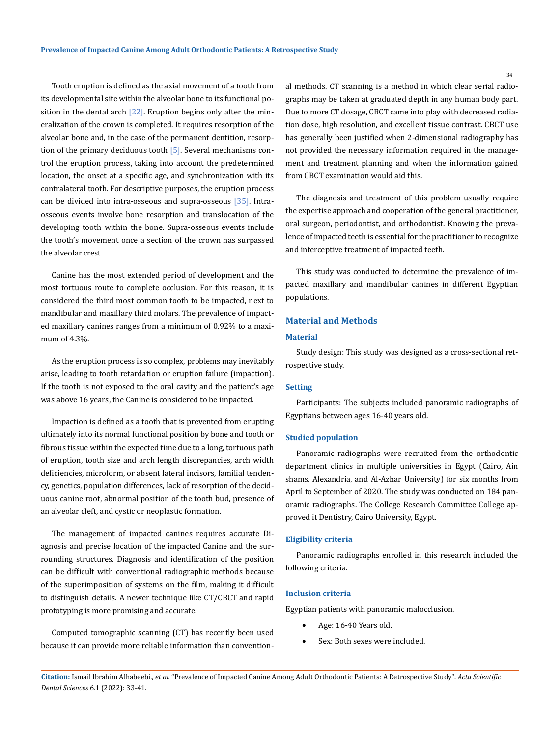Tooth eruption is defined as the axial movement of a tooth from its developmental site within the alveolar bone to its functional position in the dental arch  $[22]$ . Eruption begins only after the mineralization of the crown is completed. It requires resorption of the alveolar bone and, in the case of the permanent dentition, resorption of the primary deciduous tooth [5]. Several mechanisms control the eruption process, taking into account the predetermined location, the onset at a specific age, and synchronization with its contralateral tooth. For descriptive purposes, the eruption process can be divided into intra-osseous and supra-osseous [35]. Intraosseous events involve bone resorption and translocation of the developing tooth within the bone. Supra-osseous events include the tooth's movement once a section of the crown has surpassed the alveolar crest.

Canine has the most extended period of development and the most tortuous route to complete occlusion. For this reason, it is considered the third most common tooth to be impacted, next to mandibular and maxillary third molars. The prevalence of impacted maxillary canines ranges from a minimum of 0.92% to a maximum of 4.3%.

As the eruption process is so complex, problems may inevitably arise, leading to tooth retardation or eruption failure (impaction). If the tooth is not exposed to the oral cavity and the patient's age was above 16 years, the Canine is considered to be impacted.

Impaction is defined as a tooth that is prevented from erupting ultimately into its normal functional position by bone and tooth or fibrous tissue within the expected time due to a long, tortuous path of eruption, tooth size and arch length discrepancies, arch width deficiencies, microform, or absent lateral incisors, familial tendency, genetics, population differences, lack of resorption of the deciduous canine root, abnormal position of the tooth bud, presence of an alveolar cleft, and cystic or neoplastic formation.

The management of impacted canines requires accurate Diagnosis and precise location of the impacted Canine and the surrounding structures. Diagnosis and identification of the position can be difficult with conventional radiographic methods because of the superimposition of systems on the film, making it difficult to distinguish details. A newer technique like CT/CBCT and rapid prototyping is more promising and accurate.

Computed tomographic scanning (CT) has recently been used because it can provide more reliable information than conventional methods. CT scanning is a method in which clear serial radiographs may be taken at graduated depth in any human body part. Due to more CT dosage, CBCT came into play with decreased radiation dose, high resolution, and excellent tissue contrast. CBCT use has generally been justified when 2-dimensional radiography has not provided the necessary information required in the management and treatment planning and when the information gained from CBCT examination would aid this.

The diagnosis and treatment of this problem usually require the expertise approach and cooperation of the general practitioner, oral surgeon, periodontist, and orthodontist. Knowing the prevalence of impacted teeth is essential for the practitioner to recognize and interceptive treatment of impacted teeth.

This study was conducted to determine the prevalence of impacted maxillary and mandibular canines in different Egyptian populations.

## **Material and Methods**

### **Material**

Study design: This study was designed as a cross-sectional retrospective study.

#### **Setting**

Participants: The subjects included panoramic radiographs of Egyptians between ages 16-40 years old.

#### **Studied population**

Panoramic radiographs were recruited from the orthodontic department clinics in multiple universities in Egypt (Cairo, Ain shams, Alexandria, and Al-Azhar University) for six months from April to September of 2020. The study was conducted on 184 panoramic radiographs. The College Research Committee College approved it Dentistry, Cairo University, Egypt.

#### **Eligibility criteria**

Panoramic radiographs enrolled in this research included the following criteria.

#### **Inclusion criteria**

Egyptian patients with panoramic malocclusion.

- Age: 16-40 Years old.
- Sex: Both sexes were included.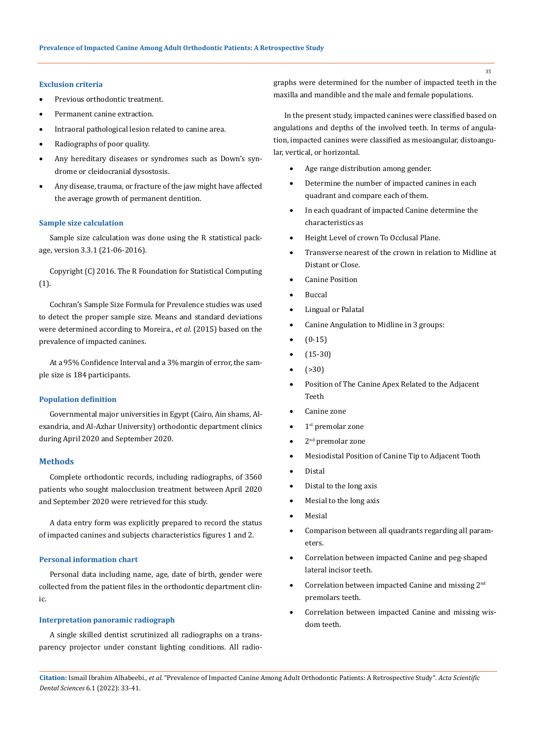#### **Exclusion criteria**

- Previous orthodontic treatment.
- • Permanent canine extraction.
- Intraoral pathological lesion related to canine area.
- Radiographs of poor quality.
- Any hereditary diseases or syndromes such as Down's syndrome or cleidocranial dysostosis.
- Any disease, trauma, or fracture of the jaw might have affected the average growth of permanent dentition.

#### **Sample size calculation**

Sample size calculation was done using the R statistical package, version 3.3.1 (21-06-2016).

Copyright (C) 2016. The R Foundation for Statistical Computing (1).

Cochran's Sample Size Formula for Prevalence studies was used to detect the proper sample size. Means and standard deviations were determined according to Moreira., *et al*. (2015) based on the prevalence of impacted canines.

At a 95% Confidence Interval and a 3% margin of error, the sample size is 184 participants.

#### **Population definition**

Governmental major universities in Egypt (Cairo, Ain shams, Alexandria, and Al-Azhar University) orthodontic department clinics during April 2020 and September 2020.

#### **Methods**

Complete orthodontic records, including radiographs, of 3560 patients who sought malocclusion treatment between April 2020 and September 2020 were retrieved for this study.

A data entry form was explicitly prepared to record the status of impacted canines and subjects characteristics figures 1 and 2.

## **Personal information chart**

Personal data including name, age, date of birth, gender were collected from the patient files in the orthodontic department clinic.

## **Interpretation panoramic radiograph**

A single skilled dentist scrutinized all radiographs on a transparency projector under constant lighting conditions. All radiographs were determined for the number of impacted teeth in the maxilla and mandible and the male and female populations.

In the present study, impacted canines were classified based on angulations and depths of the involved teeth. In terms of angulation, impacted canines were classified as mesioangular, distoangular, vertical, or horizontal.

- Age range distribution among gender.
- Determine the number of impacted canines in each quadrant and compare each of them.
- In each quadrant of impacted Canine determine the characteristics as
- Height Level of crown To Occlusal Plane.
- Transverse nearest of the crown in relation to Midline at Distant or Close.
- **Canine Position**
- **Buccal**
- **Lingual or Palatal**
- Canine Angulation to Midline in 3 groups:
- $(0-15)$
- $(15-30)$
- $( > 30)$
- Position of The Canine Apex Related to the Adjacent Teeth
- Canine zone
- 1<sup>st</sup> premolar zone
- $2<sup>nd</sup>$  premolar zone
- Mesiodistal Position of Canine Tip to Adjacent Tooth
- **Distal**
- Distal to the long axis
- Mesial to the long axis
- **Mesial**
- Comparison between all quadrants regarding all parameters.
- Correlation between impacted Canine and peg-shaped lateral incisor teeth.
- Correlation between impacted Canine and missing 2<sup>nd</sup> premolars teeth.
- • Correlation between impacted Canine and missing wisdom teeth.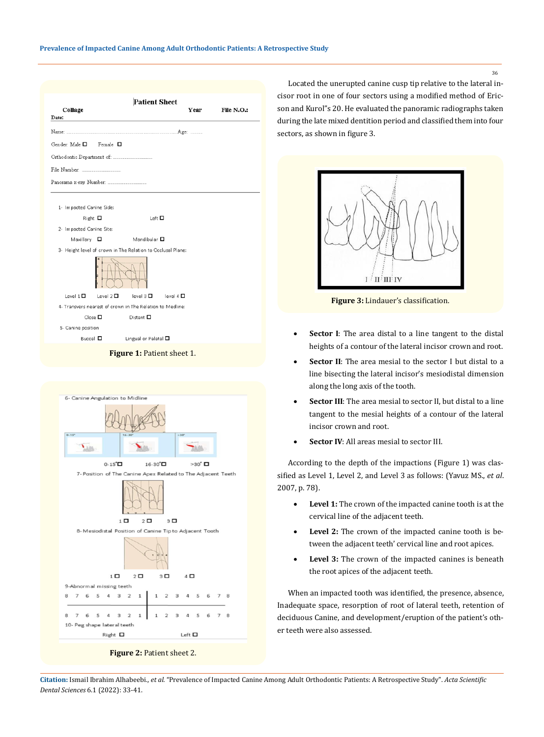| Collage<br>Date:                                                                      |                | <b>Patient Sheet</b>                                        |               | Year | File N.O.: |
|---------------------------------------------------------------------------------------|----------------|-------------------------------------------------------------|---------------|------|------------|
|                                                                                       |                |                                                             |               |      |            |
| Gender: Male □                                                                        | Female $\Box$  |                                                             |               |      |            |
|                                                                                       |                |                                                             |               |      |            |
|                                                                                       |                |                                                             |               |      |            |
|                                                                                       |                |                                                             |               |      |            |
| 1- Impacted Canine Side:<br>Right □<br>2- Impacted Canine Site:<br>Maxillary <b>O</b> |                | Left □<br>Mandibular <b>O</b>                               |               |      |            |
|                                                                                       |                | 3- Height level of crown in The Relation to Occlusal Plane: |               |      |            |
|                                                                                       |                |                                                             |               |      |            |
| Level $1\Box$                                                                         | Level $2 \Box$ | level $3\Box$                                               | level $4\Box$ |      |            |
|                                                                                       |                | 4- Transvers nearest of crown in The Relation to Medline:   |               |      |            |
| $\Box$ ose $\square$                                                                  |                | Distant □                                                   |               |      |            |
| 5- Canine position                                                                    |                |                                                             |               |      |            |
| Buccal □                                                                              |                | Lingual or Palatal O                                        |               |      |            |
|                                                                                       |                | Figure 1: Patient sheet 1.                                  |               |      |            |



**Figure 2:** Patient sheet 2.

Located the unerupted canine cusp tip relative to the lateral incisor root in one of four sectors using a modified method of Ericson and Kurol"s 20. He evaluated the panoramic radiographs taken during the late mixed dentition period and classified them into four sectors, as shown in figure 3.



**Figure 3:** Lindauer's classification.

- **Sector I**: The area distal to a line tangent to the distal heights of a contour of the lateral incisor crown and root.
- **Sector II**: The area mesial to the sector I but distal to a line bisecting the lateral incisor's mesiodistal dimension along the long axis of the tooth.
- **Sector III**: The area mesial to sector II, but distal to a line tangent to the mesial heights of a contour of the lateral incisor crown and root.
- • **Sector IV**: All areas mesial to sector III.

According to the depth of the impactions (Figure 1) was classified as Level 1, Level 2, and Level 3 as follows: (Yavuz MS., *et al*. 2007, p. 78).

- • **Level 1:** The crown of the impacted canine tooth is at the cervical line of the adjacent teeth.
- Level 2: The crown of the impacted canine tooth is between the adjacent teeth' cervical line and root apices.
- • **Level 3:** The crown of the impacted canines is beneath the root apices of the adjacent teeth.

When an impacted tooth was identified, the presence, absence, Inadequate space, resorption of root of lateral teeth, retention of deciduous Canine, and development/eruption of the patient's other teeth were also assessed.

**Citation:** Ismail Ibrahim Alhabeebi*., et al.* "Prevalence of Impacted Canine Among Adult Orthodontic Patients: A Retrospective Study". *Acta Scientific Dental Sciences* 6.1 (2022): 33-41.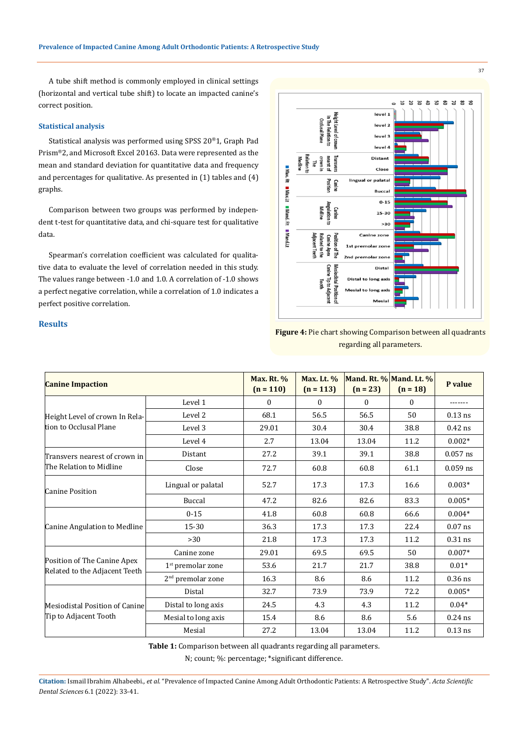A tube shift method is commonly employed in clinical settings (horizontal and vertical tube shift) to locate an impacted canine's correct position.

#### **Statistical analysis**

Statistical analysis was performed using SPSS 20®1, Graph Pad Prism®2, and Microsoft Excel 20163. Data were represented as the mean and standard deviation for quantitative data and frequency and percentages for qualitative. As presented in (1) tables and (4) graphs.

Comparison between two groups was performed by independent t-test for quantitative data, and chi-square test for qualitative data.

Spearman's correlation coefficient was calculated for qualitative data to evaluate the level of correlation needed in this study. The values range between -1.0 and 1.0. A correlation of -1.0 shows a perfect negative correlation, while a correlation of 1.0 indicates a perfect positive correlation.



**Figure 4:** Pie chart showing Comparison between all quadrants regarding all parameters.

| <b>Canine Impaction</b>                                      | <b>Max. Rt. %</b><br>$(n = 110)$ | <b>Max. Lt. %</b><br>$(n = 113)$ | $(n = 23)$ | Mand. Rt. % Mand. Lt. %<br>$(n = 18)$ | P value  |            |
|--------------------------------------------------------------|----------------------------------|----------------------------------|------------|---------------------------------------|----------|------------|
|                                                              | Level 1                          | $\Omega$                         | $\Omega$   | $\theta$                              | $\Omega$ |            |
| Height Level of crown In Rela-<br>tion to Occlusal Plane     | Level 2                          | 68.1                             | 56.5       | 56.5                                  | 50       | $0.13$ ns  |
|                                                              | Level 3                          | 29.01                            | 30.4       | 30.4                                  | 38.8     | $0.42$ ns  |
|                                                              | Level 4                          | 2.7                              | 13.04      | 13.04                                 | 11.2     | $0.002*$   |
| Transvers nearest of crown in                                | Distant                          | 27.2                             | 39.1       | 39.1                                  | 38.8     | $0.057$ ns |
| The Relation to Midline                                      | Close                            | 72.7                             | 60.8       | 60.8                                  | 61.1     | $0.059$ ns |
| Canine Position                                              | Lingual or palatal               | 52.7                             | 17.3       | 17.3                                  | 16.6     | $0.003*$   |
|                                                              | Buccal                           | 47.2                             | 82.6       | 82.6                                  | 83.3     | $0.005*$   |
| Canine Angulation to Medline                                 | $0 - 15$                         | 41.8                             | 60.8       | 60.8                                  | 66.6     | $0.004*$   |
|                                                              | 15-30                            | 36.3                             | 17.3       | 17.3                                  | 22.4     | $0.07$ ns  |
|                                                              | >30                              | 21.8                             | 17.3       | 17.3                                  | 11.2     | $0.31$ ns  |
| Position of The Canine Apex<br>Related to the Adjacent Teeth | Canine zone                      | 29.01                            | 69.5       | 69.5                                  | 50       | $0.007*$   |
|                                                              | $1st$ premolar zone              | 53.6                             | 21.7       | 21.7                                  | 38.8     | $0.01*$    |
|                                                              | 2 <sup>nd</sup> premolar zone    | 16.3                             | 8.6        | 8.6                                   | 11.2     | $0.36$ ns  |
| Mesiodistal Position of Canine<br>Tip to Adjacent Tooth      | Distal                           | 32.7                             | 73.9       | 73.9                                  | 72.2     | $0.005*$   |
|                                                              | Distal to long axis              | 24.5                             | 4.3        | 4.3                                   | 11.2     | $0.04*$    |
|                                                              | Mesial to long axis              | 15.4                             | 8.6        | 8.6                                   | 5.6      | $0.24$ ns  |
|                                                              | Mesial                           | 27.2                             | 13.04      | 13.04                                 | 11.2     | $0.13$ ns  |

**Table 1:** Comparison between all quadrants regarding all parameters.

N; count; %: percentage; \*significant difference.

## **Results**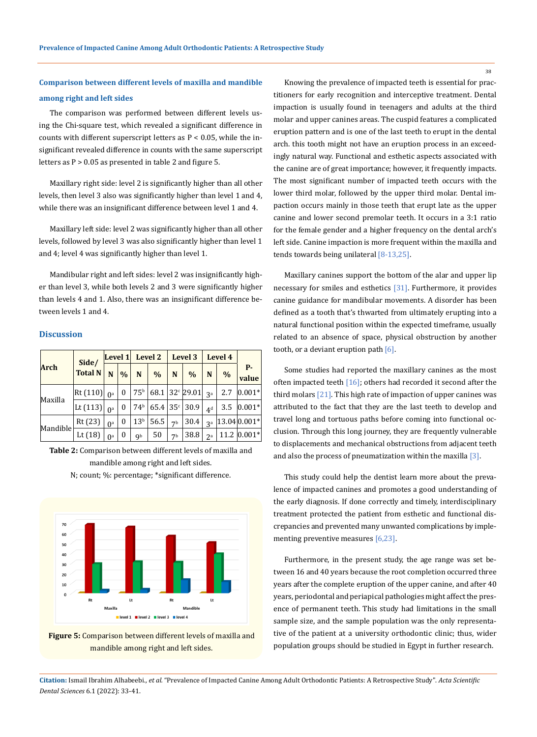# **Comparison between different levels of maxilla and mandible among right and left sides**

The comparison was performed between different levels using the Chi-square test, which revealed a significant difference in counts with different superscript letters as  $P < 0.05$ , while the insignificant revealed difference in counts with the same superscript letters as P > 0.05 as presented in table 2 and figure 5.

Maxillary right side: level 2 is significantly higher than all other levels, then level 3 also was significantly higher than level 1 and 4, while there was an insignificant difference between level 1 and 4.

Maxillary left side: level 2 was significantly higher than all other levels, followed by level 3 was also significantly higher than level 1 and 4; level 4 was significantly higher than level 1.

Mandibular right and left sides: level 2 was insignificantly higher than level 3, while both levels 2 and 3 were significantly higher than levels 4 and 1. Also, there was an insignificant difference between levels 1 and 4.

#### **Discussion**

| <b>Arch</b> | Side/<br><b>Total N</b> | Level 1               |                  | Level 2         |      | Level 3        |                             | Level 4        |               |                    |
|-------------|-------------------------|-----------------------|------------------|-----------------|------|----------------|-----------------------------|----------------|---------------|--------------------|
|             |                         | N                     | $\frac{0}{0}$    | N               | $\%$ | N              | $\%$                        | N              | $\frac{0}{0}$ | <b>P-</b><br>value |
| Maxilla     | Rt(110)                 | $\Omega$ <sup>a</sup> | $\theta$         | 75 <sup>b</sup> |      |                | 68.1 32 $c$ 29.01           | <b>3a</b>      | 2.7           | $0.001*$           |
|             | Lt $(113)$              | $\Omega$ <sup>a</sup> | $\theta$         | 74 <sup>b</sup> |      |                | $65.4$ 35 <sup>c</sup> 30.9 | 4 <sup>d</sup> | 3.5           | $ 0.001*$          |
| Mandible    | Rt(23)                  | $\Omega$ <sup>a</sup> | $\boldsymbol{0}$ | 13 <sup>b</sup> | 56.5 | 7 <sup>b</sup> | 30.4                        | <b>3a</b>      |               | $ 13.04 0.001*$    |
|             | Lt $(18)$               | $\Omega$ <sup>a</sup> | 0                | <b>Qb</b>       | 50   | 7 <sub>b</sub> | 38.8                        | 2a             |               | 11.2 $ 0.001*$     |

**Table 2:** Comparison between different levels of maxilla and mandible among right and left sides.

N; count; %: percentage; \*significant difference.



**Figure 5:** Comparison between different levels of maxilla and mandible among right and left sides.

Knowing the prevalence of impacted teeth is essential for practitioners for early recognition and interceptive treatment. Dental impaction is usually found in teenagers and adults at the third molar and upper canines areas. The cuspid features a complicated eruption pattern and is one of the last teeth to erupt in the dental arch. this tooth might not have an eruption process in an exceedingly natural way. Functional and esthetic aspects associated with the canine are of great importance; however, it frequently impacts. The most significant number of impacted teeth occurs with the lower third molar, followed by the upper third molar. Dental impaction occurs mainly in those teeth that erupt late as the upper canine and lower second premolar teeth. It occurs in a 3:1 ratio for the female gender and a higher frequency on the dental arch's left side. Canine impaction is more frequent within the maxilla and tends towards being unilateral [8-13,25].

Maxillary canines support the bottom of the alar and upper lip necessary for smiles and esthetics [31]. Furthermore, it provides canine guidance for mandibular movements. A disorder has been defined as a tooth that's thwarted from ultimately erupting into a natural functional position within the expected timeframe, usually related to an absence of space, physical obstruction by another tooth, or a deviant eruption path  $[6]$ .

Some studies had reported the maxillary canines as the most often impacted teeth  $[16]$ ; others had recorded it second after the third molars [21]. This high rate of impaction of upper canines was attributed to the fact that they are the last teeth to develop and travel long and tortuous paths before coming into functional occlusion. Through this long journey, they are frequently vulnerable to displacements and mechanical obstructions from adjacent teeth and also the process of pneumatization within the maxilla [3].

This study could help the dentist learn more about the prevalence of impacted canines and promotes a good understanding of the early diagnosis. If done correctly and timely, interdisciplinary treatment protected the patient from esthetic and functional discrepancies and prevented many unwanted complications by implementing preventive measures [6,23].

Furthermore, in the present study, the age range was set between 16 and 40 years because the root completion occurred three years after the complete eruption of the upper canine, and after 40 years, periodontal and periapical pathologies might affect the presence of permanent teeth. This study had limitations in the small sample size, and the sample population was the only representative of the patient at a university orthodontic clinic; thus, wider population groups should be studied in Egypt in further research.

**Citation:** Ismail Ibrahim Alhabeebi*., et al.* "Prevalence of Impacted Canine Among Adult Orthodontic Patients: A Retrospective Study". *Acta Scientific Dental Sciences* 6.1 (2022): 33-41.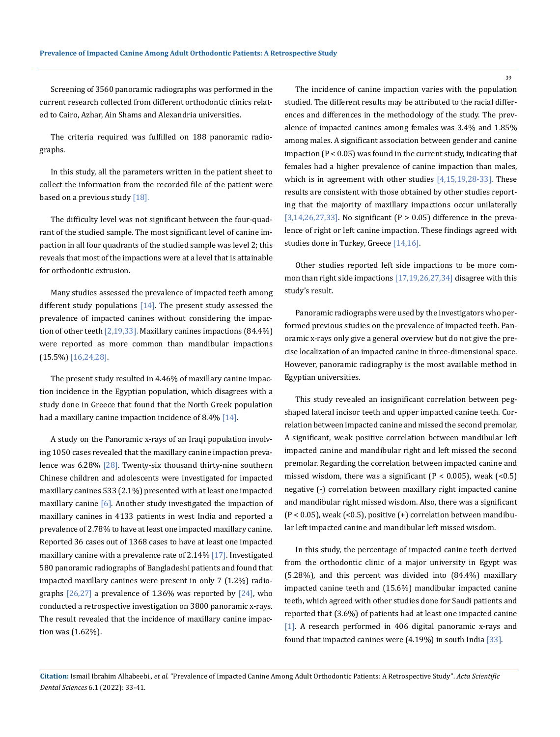Screening of 3560 panoramic radiographs was performed in the current research collected from different orthodontic clinics related to Cairo, Azhar, Ain Shams and Alexandria universities.

The criteria required was fulfilled on 188 panoramic radiographs.

In this study, all the parameters written in the patient sheet to collect the information from the recorded file of the patient were based on a previous study [18].

The difficulty level was not significant between the four-quadrant of the studied sample. The most significant level of canine impaction in all four quadrants of the studied sample was level 2; this reveals that most of the impactions were at a level that is attainable for orthodontic extrusion.

Many studies assessed the prevalence of impacted teeth among different study populations [14]. The present study assessed the prevalence of impacted canines without considering the impaction of other teeth  $[2,19,33]$ . Maxillary canines impactions  $(84.4\%)$ were reported as more common than mandibular impactions (15.5%) [16,24,28].

The present study resulted in 4.46% of maxillary canine impaction incidence in the Egyptian population, which disagrees with a study done in Greece that found that the North Greek population had a maxillary canine impaction incidence of 8.4% [14].

A study on the Panoramic x-rays of an Iraqi population involving 1050 cases revealed that the maxillary canine impaction prevalence was 6.28% [28]. Twenty-six thousand thirty-nine southern Chinese children and adolescents were investigated for impacted maxillary canines 533 (2.1%) presented with at least one impacted maxillary canine [6]. Another study investigated the impaction of maxillary canines in 4133 patients in west India and reported a prevalence of 2.78% to have at least one impacted maxillary canine. Reported 36 cases out of 1368 cases to have at least one impacted maxillary canine with a prevalence rate of 2.14% [17]. Investigated 580 panoramic radiographs of Bangladeshi patients and found that impacted maxillary canines were present in only 7 (1.2%) radiographs  $[26,27]$  a prevalence of 1.36% was reported by  $[24]$ , who conducted a retrospective investigation on 3800 panoramic x-rays. The result revealed that the incidence of maxillary canine impaction was (1.62%).

The incidence of canine impaction varies with the population studied. The different results may be attributed to the racial differences and differences in the methodology of the study. The prevalence of impacted canines among females was 3.4% and 1.85% among males. A significant association between gender and canine impaction (P < 0.05) was found in the current study, indicating that females had a higher prevalence of canine impaction than males, which is in agreement with other studies  $[4,15,19,28-33]$ . These results are consistent with those obtained by other studies reporting that the majority of maxillary impactions occur unilaterally [3,14,26,27,33]. No significant (P > 0.05) difference in the prevalence of right or left canine impaction. These findings agreed with studies done in Turkey, Greece [14,16].

Other studies reported left side impactions to be more common than right side impactions [17,19,26,27,34] disagree with this study's result.

Panoramic radiographs were used by the investigators who performed previous studies on the prevalence of impacted teeth. Panoramic x-rays only give a general overview but do not give the precise localization of an impacted canine in three-dimensional space. However, panoramic radiography is the most available method in Egyptian universities.

This study revealed an insignificant correlation between pegshaped lateral incisor teeth and upper impacted canine teeth. Correlation between impacted canine and missed the second premolar, A significant, weak positive correlation between mandibular left impacted canine and mandibular right and left missed the second premolar. Regarding the correlation between impacted canine and missed wisdom, there was a significant ( $P < 0.005$ ), weak (<0.5) negative (-) correlation between maxillary right impacted canine and mandibular right missed wisdom. Also, there was a significant  $(P < 0.05)$ , weak  $( $0.5$ )$ , positive  $(+)$  correlation between mandibular left impacted canine and mandibular left missed wisdom.

In this study, the percentage of impacted canine teeth derived from the orthodontic clinic of a major university in Egypt was (5.28%), and this percent was divided into (84.4%) maxillary impacted canine teeth and (15.6%) mandibular impacted canine teeth, which agreed with other studies done for Saudi patients and reported that (3.6%) of patients had at least one impacted canine [1]. A research performed in 406 digital panoramic x-rays and found that impacted canines were (4.19%) in south India [33].

**Citation:** Ismail Ibrahim Alhabeebi*., et al.* "Prevalence of Impacted Canine Among Adult Orthodontic Patients: A Retrospective Study". *Acta Scientific Dental Sciences* 6.1 (2022): 33-41.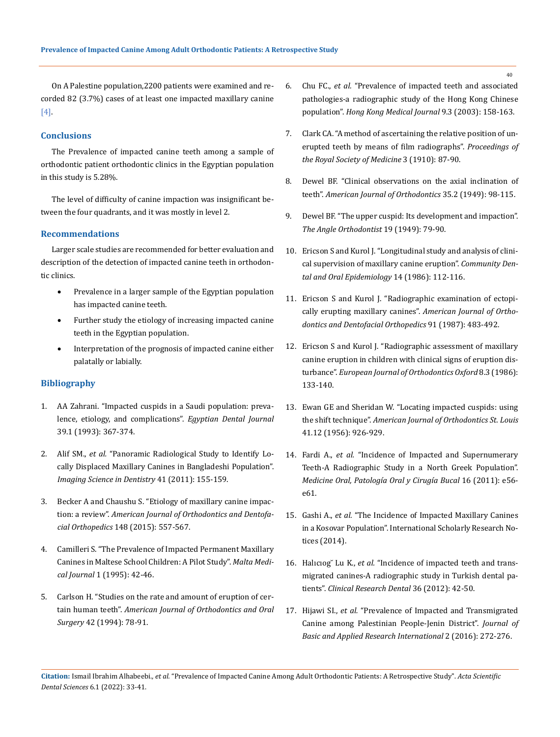On A Palestine population,2200 patients were examined and recorded 82 (3.7%) cases of at least one impacted maxillary canine [4].

#### **Conclusions**

The Prevalence of impacted canine teeth among a sample of orthodontic patient orthodontic clinics in the Egyptian population in this study is 5.28%.

The level of difficulty of canine impaction was insignificant between the four quadrants, and it was mostly in level 2.

#### **Recommendations**

Larger scale studies are recommended for better evaluation and description of the detection of impacted canine teeth in orthodontic clinics.

- Prevalence in a larger sample of the Egyptian population has impacted canine teeth.
- Further study the etiology of increasing impacted canine teeth in the Egyptian population.
- Interpretation of the prognosis of impacted canine either palatally or labially.

#### **Bibliography**

- 1. [AA Zahrani. "Impacted cuspids in a Saudi population: preva](https://pubmed.ncbi.nlm.nih.gov/8299537/)[lence, etiology, and complications".](https://pubmed.ncbi.nlm.nih.gov/8299537/) *Egyptian Dental Journal* [39.1 \(1993\): 367-374.](https://pubmed.ncbi.nlm.nih.gov/8299537/)
- 2. Alif SM., *et al.* ["Panoramic Radiological Study to Identify Lo](https://pubmed.ncbi.nlm.nih.gov/22232724/)[cally Displaced Maxillary Canines in Bangladeshi Population".](https://pubmed.ncbi.nlm.nih.gov/22232724/)  *[Imaging Science in Dentistry](https://pubmed.ncbi.nlm.nih.gov/22232724/)* 41 (2011): 155-159.
- 3. [Becker A and Chaushu S. "Etiology of maxillary canine impac](https://pubmed.ncbi.nlm.nih.gov/26432311/)tion: a review". *[American Journal of Orthodontics and Dentofa](https://pubmed.ncbi.nlm.nih.gov/26432311/)cial Orthopedics* [148 \(2015\): 557-567.](https://pubmed.ncbi.nlm.nih.gov/26432311/)
- 4. [Camilleri S. "The Prevalence of Impacted Permanent Maxillary](https://www.um.edu.mt/library/oar/bitstream/123456789/701/1/mmj070142.pdf)  [Canines in Maltese School Children: A Pilot Study".](https://www.um.edu.mt/library/oar/bitstream/123456789/701/1/mmj070142.pdf) *Malta Medical Journal* [1 \(1995\): 42-46.](https://www.um.edu.mt/library/oar/bitstream/123456789/701/1/mmj070142.pdf)
- 5. [Carlson H. "Studies on the rate and amount of eruption of cer](https://pubmed.ncbi.nlm.nih.gov/21024944/)tain human teeth". *[American Journal of Orthodontics and Oral](https://pubmed.ncbi.nlm.nih.gov/21024944/)  Surgery* [42 \(1994\): 78-91.](https://pubmed.ncbi.nlm.nih.gov/21024944/)
- 6. Chu FC., *et al.* ["Prevalence of impacted teeth and associated](https://pubmed.ncbi.nlm.nih.gov/12777649/)  [pathologies-a radiographic study of the Hong Kong Chinese](https://pubmed.ncbi.nlm.nih.gov/12777649/)  population". *[Hong Kong Medical Journal](https://pubmed.ncbi.nlm.nih.gov/12777649/)* 9.3 (2003): 158-163.
- 7. [Clark CA. "A method of ascertaining the relative position of un](https://www.ncbi.nlm.nih.gov/pmc/articles/PMC1961023/)[erupted teeth by means of film radiographs".](https://www.ncbi.nlm.nih.gov/pmc/articles/PMC1961023/) *Proceedings of [the Royal Society of Medicine](https://www.ncbi.nlm.nih.gov/pmc/articles/PMC1961023/)* 3 (1910): 87-90.
- 8. [Dewel BF. "Clinical observations on the axial inclination of](https://pubmed.ncbi.nlm.nih.gov/18110477/)  teeth". *[American Journal of Orthodontics](https://pubmed.ncbi.nlm.nih.gov/18110477/)* 35.2 (1949): 98-115.
- 9. [Dewel BF. "The upper cuspid: Its development and impaction".](https://meridian.allenpress.com/angle-orthodontist/article/19/2/79/55028/The-Upper-Cuspid-Its-Development-and-Impaction)  *[The Angle Orthodontist](https://meridian.allenpress.com/angle-orthodontist/article/19/2/79/55028/The-Upper-Cuspid-Its-Development-and-Impaction)* 19 (1949): 79-90.
- 10. [Ericson S and Kurol J. "Longitudinal study and analysis of clini](https://pubmed.ncbi.nlm.nih.gov/3459617/)[cal supervision of maxillary canine eruption".](https://pubmed.ncbi.nlm.nih.gov/3459617/) *Community Den[tal and Oral Epidemiology](https://pubmed.ncbi.nlm.nih.gov/3459617/)* 14 (1986): 112-116.
- 11. [Ericson S and Kurol J. "Radiographic examination of ectopi](https://pubmed.ncbi.nlm.nih.gov/3473928/)cally erupting maxillary canines". *[American Journal of Ortho](https://pubmed.ncbi.nlm.nih.gov/3473928/)[dontics and Dentofacial Orthopedics](https://pubmed.ncbi.nlm.nih.gov/3473928/)* 91 (1987): 483-492.
- 12. [Ericson S and Kurol J. "Radiographic assessment of maxillary](https://pubmed.ncbi.nlm.nih.gov/3464436/)  [canine eruption in children with clinical signs of eruption dis](https://pubmed.ncbi.nlm.nih.gov/3464436/)turbance". *[European Journal of Orthodontics Oxford](https://pubmed.ncbi.nlm.nih.gov/3464436/)* 8.3 (1986): [133-140.](https://pubmed.ncbi.nlm.nih.gov/3464436/)
- 13. Ewan GE and Sheridan W. "Locating impacted cuspids: using the shift technique". *American Journal of Orthodontics St. Louis* 41.12 (1956): 926-929.
- 14. Fardi A., *et al.* ["Incidence of Impacted and Supernumerary](http://www.medicinaoral.com/pubmed/medoralv16_i1_p56.pdf)  [Teeth-A Radiographic Study in a North Greek Population".](http://www.medicinaoral.com/pubmed/medoralv16_i1_p56.pdf)  *[Medicine Oral, Patología Oral y Cirugía Bucal](http://www.medicinaoral.com/pubmed/medoralv16_i1_p56.pdf)* 16 (2011): e56 [e61.](http://www.medicinaoral.com/pubmed/medoralv16_i1_p56.pdf)
- 15. Gashi A., *et al.* ["The Incidence of Impacted Maxillary Canines](https://www.hindawi.com/journals/isrn/2014/370531/)  [in a Kosovar Population". International Scholarly Research No](https://www.hindawi.com/journals/isrn/2014/370531/)[tices \(2014\).](https://www.hindawi.com/journals/isrn/2014/370531/)
- 16. Halıcıog˘ Lu K., *et al.* ["Incidence of impacted teeth and trans](https://www.researchgate.net/publication/303307617_INCIDENCE_OF_IMPACTED_TEETH_AND_TRANSMIGRATED_CANINES-_--A_RADIOGRAPHIC_STUDY_IN_TURKISH_DENTAL_PATIENTS)[migrated canines-A radiographic study in Turkish dental pa](https://www.researchgate.net/publication/303307617_INCIDENCE_OF_IMPACTED_TEETH_AND_TRANSMIGRATED_CANINES-_--A_RADIOGRAPHIC_STUDY_IN_TURKISH_DENTAL_PATIENTS)tients". *[Clinical Research Dental](https://www.researchgate.net/publication/303307617_INCIDENCE_OF_IMPACTED_TEETH_AND_TRANSMIGRATED_CANINES-_--A_RADIOGRAPHIC_STUDY_IN_TURKISH_DENTAL_PATIENTS)* 36 (2012): 42-50.
- 17. Hijawi SI., *et al.* ["Prevalence of Impacted and Transmigrated](https://www.aaup.edu/sites/default/files/Publications/jbaar2016252%20%281%29.pdf)  [Canine among Palestinian People-Jenin District".](https://www.aaup.edu/sites/default/files/Publications/jbaar2016252%20%281%29.pdf) *Journal of [Basic and Applied Research International](https://www.aaup.edu/sites/default/files/Publications/jbaar2016252%20%281%29.pdf)* 2 (2016): 272-276.